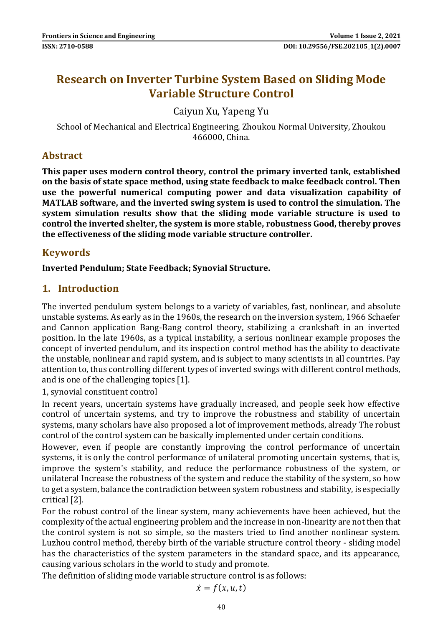# **Research on Inverter Turbine System Based on Sliding Mode Variable Structure Control**

Caiyun Xu, Yapeng Yu

School of Mechanical and Electrical Engineering, Zhoukou Normal University, Zhoukou 466000, China.

## **Abstract**

**This paper uses modern control theory, control the primary inverted tank, established on the basis of state space method, using state feedback to make feedback control. Then use the powerful numerical computing power and data visualization capability of MATLAB software, and the inverted swing system is used to control the simulation. The system simulation results show that the sliding mode variable structure is used to control the inverted shelter, the system is more stable, robustness Good, thereby proves the effectiveness of the sliding mode variable structure controller.**

## **Keywords**

**Inverted Pendulum; State Feedback; Synovial Structure.**

## **1. Introduction**

The inverted pendulum system belongs to a variety of variables, fast, nonlinear, and absolute unstable systems. As early as in the 1960s, the research on the inversion system, 1966 Schaefer and Cannon application Bang-Bang control theory, stabilizing a crankshaft in an inverted position. In the late 1960s, as a typical instability, a serious nonlinear example proposes the concept of inverted pendulum, and its inspection control method has the ability to deactivate the unstable, nonlinear and rapid system, and is subject to many scientists in all countries. Pay attention to, thus controlling different types of inverted swings with different control methods, and is one of the challenging topics [1].

1, synovial constituent control

In recent years, uncertain systems have gradually increased, and people seek how effective control of uncertain systems, and try to improve the robustness and stability of uncertain systems, many scholars have also proposed a lot of improvement methods, already The robust control of the control system can be basically implemented under certain conditions.

However, even if people are constantly improving the control performance of uncertain systems, it is only the control performance of unilateral promoting uncertain systems, that is, improve the system's stability, and reduce the performance robustness of the system, or unilateral Increase the robustness of the system and reduce the stability of the system, so how to get a system, balance the contradiction between system robustness and stability, is especially critical [2].

For the robust control of the linear system, many achievements have been achieved, but the complexity of the actual engineering problem and the increase in non-linearity are not then that the control system is not so simple, so the masters tried to find another nonlinear system. Luzhou control method, thereby birth of the variable structure control theory - sliding model has the characteristics of the system parameters in the standard space, and its appearance, causing various scholars in the world to study and promote.

The definition of sliding mode variable structure control is as follows:

$$
\dot{x}=f(x,u,t)
$$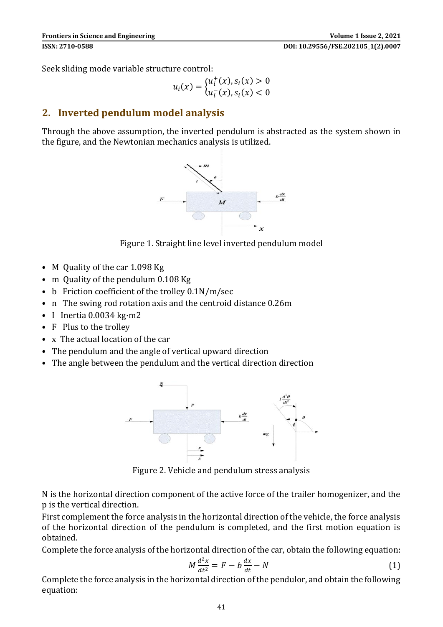Seek sliding mode variable structure control:

$$
u_i(x) = \begin{cases} u_i^+(x), s_i(x) > 0\\ u_i^-(x), s_i(x) < 0 \end{cases}
$$

## **2. Inverted pendulum model analysis**

Through the above assumption, the inverted pendulum is abstracted as the system shown in the figure, and the Newtonian mechanics analysis is utilized.



Figure 1. Straight line level inverted pendulum model

- M Quality of the car 1.098 Kg
- m Quality of the pendulum 0.108 Kg
- b Friction coefficient of the trolley 0.1N/m/sec
- n The swing rod rotation axis and the centroid distance 0.26m
- I Inertia 0.0034 kg·m2
- F Plus to the trollev
- x The actual location of the car
- The pendulum and the angle of vertical upward direction
- The angle between the pendulum and the vertical direction direction



Figure 2. Vehicle and pendulum stress analysis

N is the horizontal direction component of the active force of the trailer homogenizer, and the p is the vertical direction.

First complement the force analysis in the horizontal direction of the vehicle, the force analysis of the horizontal direction of the pendulum is completed, and the first motion equation is obtained.

Complete the force analysis of the horizontal direction of the car, obtain the following equation:

$$
M\frac{d^2x}{dt^2} = F - b\frac{dx}{dt} - N\tag{1}
$$

Complete the force analysis in the horizontal direction of the pendulor, and obtain the following equation: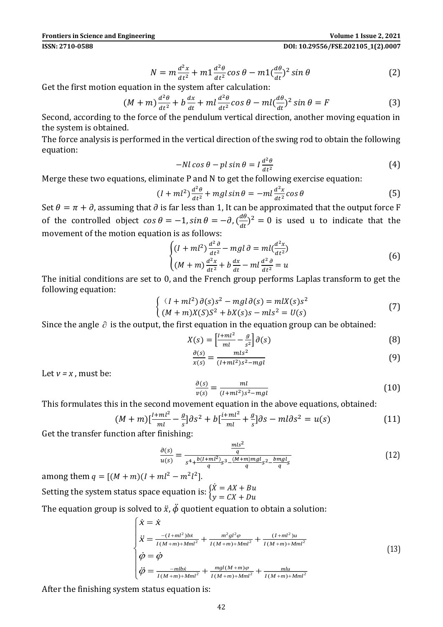#### **ISSN: 2710-0588 DOI: 10.29556/FSE.202105\_1(2).0007**

$$
N = m \frac{d^2 x}{dt^2} + m \frac{d^2 \theta}{dt^2} \cos \theta - m \frac{d\theta}{dt^2} \sin \theta \tag{2}
$$

Get the first motion equation in the system after calculation:

$$
(M+m)\frac{d^2\theta}{dt^2} + b\frac{dx}{dt} + ml\frac{d^2\theta}{dt^2}\cos\theta - ml\left(\frac{d\theta}{dt}\right)^2\sin\theta = F
$$
 (3)

Second, according to the force of the pendulum vertical direction, another moving equation in the system is obtained.

The force analysis is performed in the vertical direction of the swing rod to obtain the following equation:

$$
-Nl\cos\theta - pl\sin\theta = I\frac{d^2\theta}{dt^2}
$$
 (4)

Merge these two equations, eliminate P and N to get the following exercise equation:

$$
(I + ml^2) \frac{d^2\theta}{dt^2} + mgl \sin \theta = -ml \frac{d^2x}{dt^2} \cos \theta \tag{5}
$$

Set  $\theta = \pi + \partial$ , assuming that  $\partial$  is far less than 1, It can be approximated that the output force F of the controlled object  $\cos \theta = -1$ ,  $\sin \theta = -\partial$ ,  $\left(\frac{d\theta}{dt}\right)$  $\frac{d\theta}{dt}$ )<sup>2</sup> = 0 is used u to indicate that the movement of the motion equation is as follows:

$$
\begin{cases}\n(I+ml^2)\frac{d^2\theta}{dt^2} - mgl \,\partial = ml(\frac{d^2x}{dt^2})\\ \n(M+m)\frac{d^2x}{dt^2} + b\frac{dx}{dt} - ml\frac{d^2\theta}{dt^2} = u\n\end{cases}
$$
\n(6)

The initial conditions are set to 0, and the French group performs Laplas transform to get the following equation:

$$
\begin{cases} (I+ml^2)\,\partial(s)s^2 - mgl\,\partial(s) = mlX(s)s^2\\ (M+m)X(S)S^2 + bX(s)s - mls^2 = U(s) \end{cases}
$$
\n(7)

Since the angle  $\partial$  is the output, the first equation in the equation group can be obtained:

$$
X(s) = \left[\frac{l + ml^2}{ml} - \frac{g}{s^2}\right] \partial(s)
$$
\n
$$
\frac{\partial(s)}{\partial(s)}
$$
\n(8)

$$
\frac{\partial(s)}{\partial(x)} = \frac{mls^2}{(l+ml^2)s^2 - mgl}
$$
\n(9)

Let  $v = x$ , must be:

$$
\frac{\partial(s)}{v(s)} = \frac{ml}{(l+ml^2)s^2 - mgl}
$$
 (10)

This formulates this in the second movement equation in the above equations, obtained:

$$
(M+m)\left[\frac{l+ml^{2}}{ml} - \frac{g}{s}\right]\partial s^{2} + b\left[\frac{l+ml^{2}}{ml} + \frac{g}{s}\right]\partial s - ml\partial s^{2} = u(s)
$$
\n(11)

Get the transfer function after finishing:

$$
\frac{\partial(s)}{u(s)} = \frac{\frac{mls^2}{q}}{s^4 + \frac{b(l+ml^2)}{q}s^3 - \frac{(M+m)mgl}{q}s^2 - \frac{bmgl}{q}s}
$$
(12)

among them  $q = [(M + m)(I + ml^2 - m^2l^2]$ .

Setting the system status space equation is:  $\overline{\begin{bmatrix} \dot{X} = AX + Bu \\ u & GY + Du \end{bmatrix}}$  $y = CX + Du$ 

The equation group is solved to  $\ddot{x}$ ,  $\ddot{\phi}$  quotient equation to obtain a solution:

$$
\begin{cases}\n\dot{x} = \dot{x} \\
\ddot{x} = \frac{-(I + ml^2) b \dot{x}}{I(M + m) + Mml^2} + \frac{m^2 g l^2 \varphi}{I(M + m) + Mml^2} + \frac{(I + ml^2) u}{I(M + m) + Mml^2} \\
\dot{\varphi} = \dot{\varphi} \\
\ddot{\varphi} = \frac{-mlb \dot{x}}{I(M + m) + Mml^2} + \frac{mgl(M + m)\varphi}{I(M + m) + Mml^2} + \frac{mlu}{I(M + m) + Mml^2}\n\end{cases}
$$
\n(13)

After the finishing system status equation is: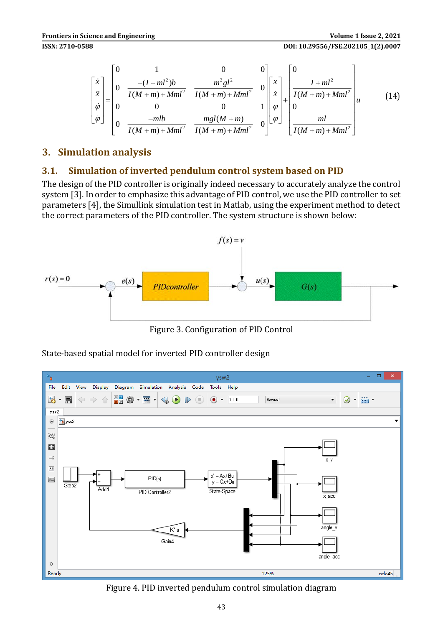**ISSN: 2710-0588 DOI: 10.29556/FSE.202105\_1(2).0007** 

$$
\begin{bmatrix} \dot{x} \\ \dot{x} \\ \dot{\varphi} \\ \dot{\varphi} \end{bmatrix} = \begin{bmatrix} 0 & 1 & 0 & 0 \\ 0 & \frac{-(I+ml^2)b}{I(M+m)+Mml^2} & \frac{m^2gl^2}{I(M+m)+Mml^2} & 0 \\ 0 & 0 & 0 & 1 \\ 0 & \frac{-mlb}{I(M+m)+Mml^2} & \frac{mgI(M+m)}{I(M+m)+Mml^2} & 0 \end{bmatrix} \begin{bmatrix} x \\ \dot{x} \\ \varphi \\ \dot{\varphi} \end{bmatrix} + \begin{bmatrix} 0 \\ \frac{I+ml^2}{I(M+m)+Mml^2} \\ 0 \\ \frac{ml}{I(M+m)+Mml^2} \end{bmatrix} \qquad (14)
$$

## **3. Simulation analysis**

### **3.1. Simulation of inverted pendulum control system based on PID**

The design of the PID controller is originally indeed necessary to accurately analyze the control system [3]. In order to emphasize this advantage of PID control, we use the PID controller to set parameters [4], the Simullink simulation test in Matlab, using the experiment method to detect the correct parameters of the PID controller. The system structure is shown below:



Figure 3. Configuration of PID Control

 $\Box$ ħ ysw2 Edit View Display Diagram Simulation Analysis Code Tools Help ◎ - 畾 -外  $\Rightarrow$  $\mathbb{R} \otimes \mathbb{R}$  -  $\mathbb{R}$  $\circ$   $\bullet$  10.0 Normal  $\overline{\phantom{0}}$  $\rightarrow$ 目 合  $\bullet$  $\left($  $vsw2$ **Pa** ysw2  $\overline{a}$  $\Theta$  $\begin{array}{c} \hline \overline{K} & \underline{3} \\ \underline{M} & \end{array}$  $\Rightarrow$  $A \equiv$  $v' = \Delta x + B$ u  $\overline{\mathbb{R}}$  $PID(s)$  $v = Cx + Du$ **Add** State-Space PID Controller2 K<sup>\*</sup>u Gain4 angle acc  $\gg$ Ready 125%  $ode45$ Figure 4. PID inverted pendulum control simulation diagram

State-based spatial model for inverted PID controller design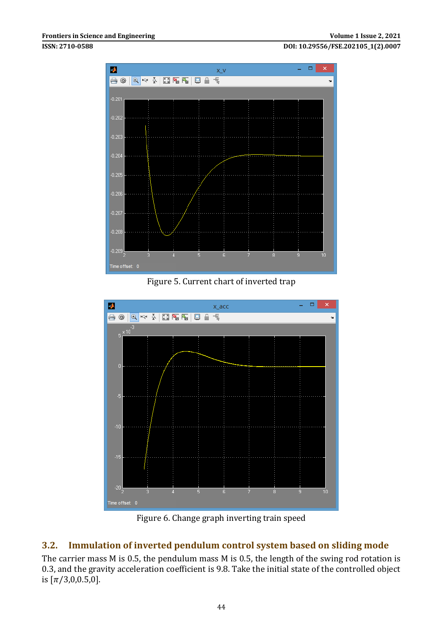**ISSN: 2710-0588 DOI: 10.29556/FSE.202105\_1(2).0007**



Figure 5. Current chart of inverted trap



Figure 6. Change graph inverting train speed

## **3.2. Immulation of inverted pendulum control system based on sliding mode**

The carrier mass M is 0.5, the pendulum mass M is 0.5, the length of the swing rod rotation is 0.3, and the gravity acceleration coefficient is 9.8. Take the initial state of the controlled object is  $[\pi/3,0,0.5,0]$ .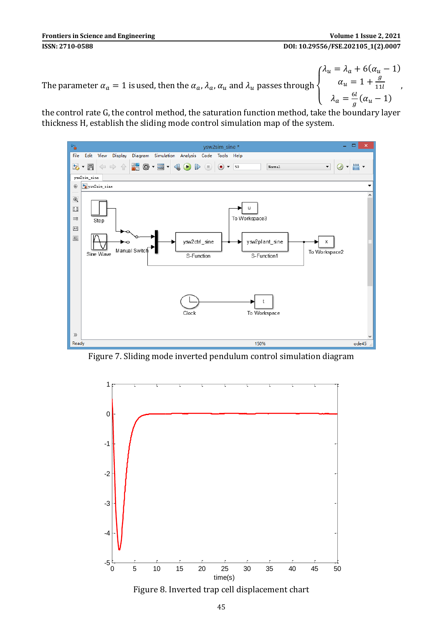The parameter  $\alpha_a = 1$  is used, then the  $\alpha_a$ ,  $\lambda_a$ ,  $\alpha_u$  and  $\lambda_u$  passes through  $\overline{\mathcal{L}}$  $\mathbf{I}$  $\int_{u}^{\lambda_u} = \lambda_a + 6(\alpha_u - 1)$  $\alpha_u = 1 + \frac{g}{11}$ 11  $\lambda_a = \frac{6l}{a}$  $\frac{6}{g}(\alpha_u-1)$ ,

the control rate G, the control method, the saturation function method, take the boundary layer thickness H, establish the sliding mode control simulation map of the system.



Figure 7. Sliding mode inverted pendulum control simulation diagram



Figure 8. Inverted trap cell displacement chart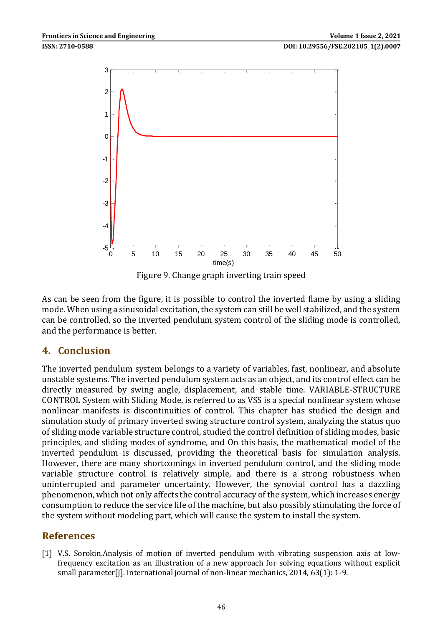

Figure 9. Change graph inverting train speed

As can be seen from the figure, it is possible to control the inverted flame by using a sliding mode. When using a sinusoidal excitation, the system can still be well stabilized, and the system can be controlled, so the inverted pendulum system control of the sliding mode is controlled, and the performance is better.

## **4. Conclusion**

The inverted pendulum system belongs to a variety of variables, fast, nonlinear, and absolute unstable systems. The inverted pendulum system acts as an object, and its control effect can be directly measured by swing angle, displacement, and stable time. VARIABLE-STRUCTURE CONTROL System with Sliding Mode, is referred to as VSS is a special nonlinear system whose nonlinear manifests is discontinuities of control. This chapter has studied the design and simulation study of primary inverted swing structure control system, analyzing the status quo of sliding mode variable structure control, studied the control definition of sliding modes, basic principles, and sliding modes of syndrome, and On this basis, the mathematical model of the inverted pendulum is discussed, providing the theoretical basis for simulation analysis. However, there are many shortcomings in inverted pendulum control, and the sliding mode variable structure control is relatively simple, and there is a strong robustness when uninterrupted and parameter uncertainty. However, the synovial control has a dazzling phenomenon, which not only affects the control accuracy of the system, which increases energy consumption to reduce the service life of the machine, but also possibly stimulating the force of the system without modeling part, which will cause the system to install the system.

## **References**

[1] V.S. Sorokin.Analysis of motion of inverted pendulum with vibrating suspension axis at lowfrequency excitation as an illustration of a new approach for solving equations without explicit small parameter[J]. International journal of non-linear mechanics, 2014, 63(1): 1-9.